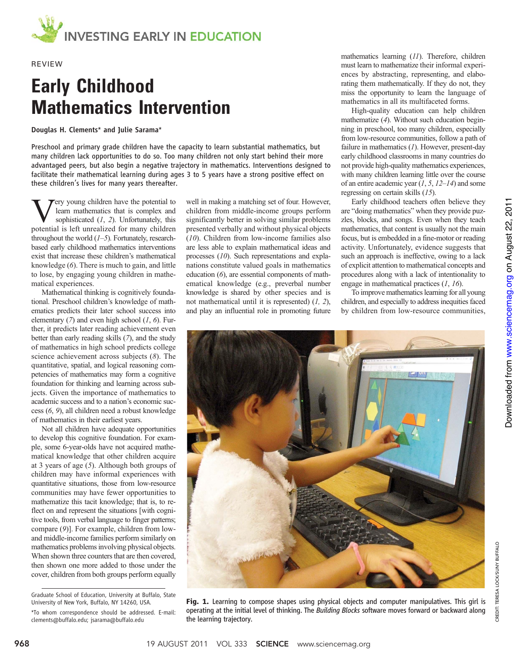

# REVIEW

# Early Childhood Mathematics Intervention

Douglas H. Clements\* and Julie Sarama\*

Preschool and primary grade children have the capacity to learn substantial mathematics, but many children lack opportunities to do so. Too many children not only start behind their more advantaged peers, but also begin a negative trajectory in mathematics. Interventions designed to facilitate their mathematical learning during ages 3 to 5 years have a strong positive effect on these children's lives for many years thereafter.

 $\sum$ ery young children have the potential to<br>sophisticated (1, 2). Unfortunately, this<br>netatiol is left unpelized for many children learn mathematics that is complex and potential is left unrealized for many children throughout the world  $(1-5)$ . Fortunately, researchbased early childhood mathematics interventions exist that increase these children's mathematical knowledge (6). There is much to gain, and little to lose, by engaging young children in mathematical experiences.

Mathematical thinking is cognitively foundational. Preschool children's knowledge of mathematics predicts their later school success into elementary  $(7)$  and even high school  $(1, 6)$ . Further, it predicts later reading achievement even better than early reading skills (7), and the study of mathematics in high school predicts college science achievement across subjects (8). The quantitative, spatial, and logical reasoning competencies of mathematics may form a cognitive foundation for thinking and learning across subjects. Given the importance of mathematics to academic success and to a nation's economic success (6, 9), all children need a robust knowledge of mathematics in their earliest years.

Not all children have adequate opportunities to develop this cognitive foundation. For example, some 6-year-olds have not acquired mathematical knowledge that other children acquire at 3 years of age (5). Although both groups of children may have informal experiences with quantitative situations, those from low-resource communities may have fewer opportunities to mathematize this tacit knowledge; that is, to reflect on and represent the situations [with cognitive tools, from verbal language to finger patterns; compare (9)]. For example, children from lowand middle-income families perform similarly on mathematics problems involving physical objects. When shown three counters that are then covered, then shown one more added to those under the cover, children from both groups perform equally

well in making a matching set of four. However, children from middle-income groups perform significantly better in solving similar problems presented verbally and without physical objects (10). Children from low-income families also are less able to explain mathematical ideas and processes (10). Such representations and explanations constitute valued goals in mathematics education (6), are essential components of mathematical knowledge (e.g., preverbal number knowledge is shared by other species and is not mathematical until it is represented)  $(1, 2)$ , and play an influential role in promoting future

mathematics learning (11). Therefore, children must learn to mathematize their informal experiences by abstracting, representing, and elaborating them mathematically. If they do not, they miss the opportunity to learn the language of mathematics in all its multifaceted forms.

High-quality education can help children mathematize (4). Without such education beginning in preschool, too many children, especially from low-resource communities, follow a path of failure in mathematics  $(I)$ . However, present-day early childhood classrooms in many countries do not provide high-quality mathematics experiences, with many children learning little over the course of an entire academic year  $(1, 5, 12-14)$  and some regressing on certain skills (15).

Early childhood teachers often believe they are "doing mathematics" when they provide puzzles, blocks, and songs. Even when they teach mathematics, that content is usually not the main focus, but is embedded in a fine-motor or reading activity. Unfortunately, evidence suggests that such an approach is ineffective, owing to a lack of explicit attention to mathematical concepts and procedures along with a lack of intentionality to engage in mathematical practices (1, 16).

To improve mathematics learning for all young children, and especially to address inequities faced by children from low-resource communities,



Fig. 1. Learning to compose shapes using physical objects and computer manipulatives. This girl is operating at the initial level of thinking. The Building Blocks software moves forward or backward along the learning trajectory.

CREDIT: TERESA LOCK/SUNY BUFFALO

CREDIT: TERESA LOCK/SUNY BUFFALO

Graduate School of Education, University at Buffalo, State University of New York, Buffalo, NY 14260, USA.

<sup>\*</sup>To whom correspondence should be addressed. E-mail: clements@buffalo.edu; jsarama@buffalo.edu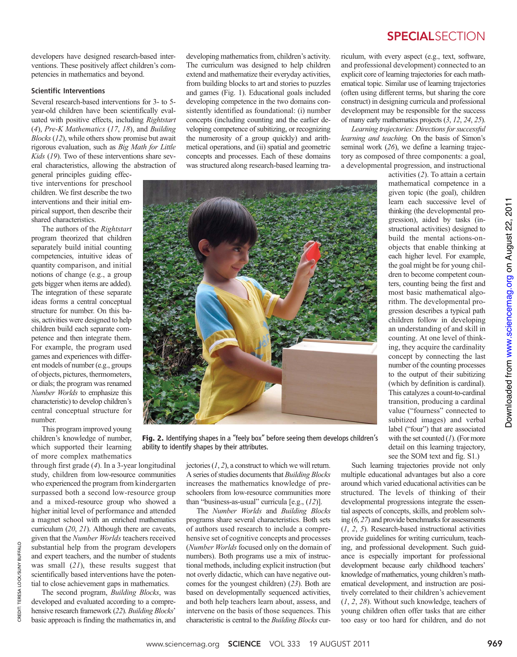developers have designed research-based interventions. These positively affect children's competencies in mathematics and beyond.

# Scientific Interventions

Several research-based interventions for 3- to 5 year-old children have been scientifically evaluated with positive effects, including Rightstart (4), Pre-K Mathematics (17, 18), and Building Blocks(12), while others show promise but await rigorous evaluation, such as Big Math for Little Kids (19). Two of these interventions share several characteristics, allowing the abstraction of

general principles guiding effective interventions for preschool children. We first describe the two interventions and their initial empirical support, then describe their shared characteristics.

The authors of the Rightstart program theorized that children separately build initial counting competencies, intuitive ideas of quantity comparison, and initial notions of change (e.g., a group gets bigger when items are added). The integration of these separate ideas forms a central conceptual structure for number. On this basis, activities were designed to help children build each separate competence and then integrate them. For example, the program used games and experiences with different models of number (e.g., groups of objects, pictures, thermometers, or dials; the program was renamed Number Worlds to emphasize this characteristic) to develop children's central conceptual structure for number.

This program improved young children's knowledge of number, which supported their learning of more complex mathematics

through first grade (4). In a 3-year longitudinal study, children from low-resource communities who experienced the program from kindergarten surpassed both a second low-resource group and a mixed-resource group who showed a higher initial level of performance and attended a magnet school with an enriched mathematics curriculum (20, 21). Although there are caveats, given that the Number Worlds teachers received substantial help from the program developers and expert teachers, and the number of students was small  $(21)$ , these results suggest that scientifically based interventions have the potential to close achievement gaps in mathematics.

The second program, Building Blocks, was developed and evaluated according to a comprehensive research framework (22). Building Blocks' basic approach is finding the mathematics in, and

CREDIT: TERESA LOCK/SUNY BUFFALO

CREDIT:

TERESA LOCK/SUNY BUFFALO

developing mathematics from, children's activity. The curriculum was designed to help children extend and mathematize their everyday activities, from building blocks to art and stories to puzzles and games (Fig. 1). Educational goals included developing competence in the two domains consistently identified as foundational: (i) number concepts (including counting and the earlier developing competence of subitizing, or recognizing the numerosity of a group quickly) and arithmetical operations, and (ii) spatial and geometric concepts and processes. Each of these domains was structured along research-based learning tra-



riculum, with every aspect (e.g., text, software, and professional development) connected to an explicit core of learning trajectories for each mathematical topic. Similar use of learning trajectories (often using different terms, but sharing the core construct) in designing curricula and professional development may be responsible for the success of many early mathematics projects (3, 12, 24, 25).

Learning trajectories: Directions for successful learning and teaching. On the basis of Simon's seminal work (26), we define a learning trajectory as composed of three components: a goal, a developmental progression, and instructional



Fig. 2. Identifying shapes in a "feely box" before seeing them develops children's ability to identify shapes by their attributes.

> jectories  $(1, 2)$ , a construct to which we will return. A series of studies documents that Building Blocks increases the mathematics knowledge of preschoolers from low-resource communities more than "business-as-usual" curricula [e.g., (12)].

> The Number Worlds and Building Blocks programs share several characteristics. Both sets of authors used research to include a comprehensive set of cognitive concepts and processes (Number Worlds focused only on the domain of numbers). Both programs use a mix of instructional methods, including explicit instruction (but not overly didactic, which can have negative outcomes for the youngest children) (23). Both are based on developmentally sequenced activities, and both help teachers learn about, assess, and intervene on the basis of those sequences. This characteristic is central to the Building Blocks cur

activities (2). To attain a certain mathematical competence in a given topic (the goal), children learn each successive level of thinking (the developmental progression), aided by tasks (instructional activities) designed to build the mental actions-onobjects that enable thinking at each higher level. For example, the goal might be for young children to become competent counters, counting being the first and most basic mathematical algorithm. The developmental progression describes a typical path children follow in developing an understanding of and skill in counting. At one level of thinking, they acquire the cardinality concept by connecting the last number of the counting processes to the output of their subitizing (which by definition is cardinal). This catalyzes a count-to-cardinal transition, producing a cardinal value ("fourness" connected to subitized images) and verbal label ("four") that are associated with the set counted  $(1)$ . (For more detail on this learning trajectory, see the SOM text and fig. S1.)

Such learning trajectories provide not only multiple educational advantages but also a core around which varied educational activities can be structured. The levels of thinking of their developmental progressions integrate the essential aspects of concepts, skills, and problem solving (6, 27) and provide benchmarks for assessments (1, 2, 5). Research-based instructional activities provide guidelines for writing curriculum, teaching, and professional development. Such guidance is especially important for professional development because early childhood teachers' knowledge of mathematics, young children's mathematical development, and instruction are positively correlated to their children's achievement (1, 2, 28). Without such knowledge, teachers of young children often offer tasks that are either too easy or too hard for children, and do not